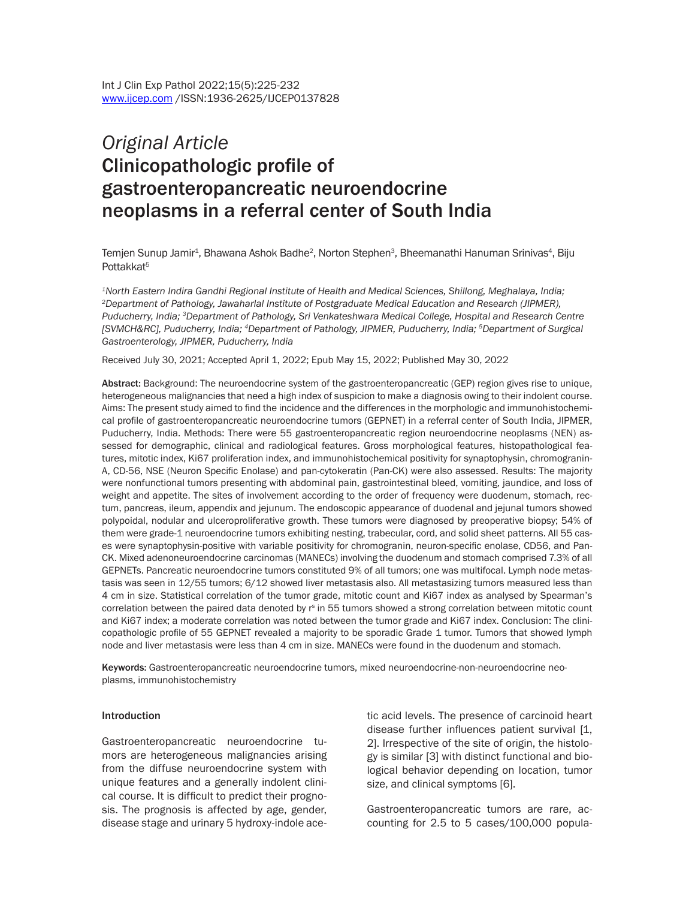# *Original Article*  Clinicopathologic profile of gastroenteropancreatic neuroendocrine neoplasms in a referral center of South India

Temjen Sunup Jamir<sup>1</sup>, Bhawana Ashok Badhe<sup>2</sup>, Norton Stephen<sup>3</sup>, Bheemanathi Hanuman Srinivas<sup>4</sup>, Biju Pottakkat<sup>5</sup>

*1North Eastern Indira Gandhi Regional Institute of Health and Medical Sciences, Shillong, Meghalaya, India; 2Department of Pathology, Jawaharlal Institute of Postgraduate Medical Education and Research (JIPMER), Puducherry, India; 3Department of Pathology, Sri Venkateshwara Medical College, Hospital and Research Centre [SVMCH&RC], Puducherry, India; 4Department of Pathology, JIPMER, Puducherry, India; 5Department of Surgical Gastroenterology, JIPMER, Puducherry, India*

Received July 30, 2021; Accepted April 1, 2022; Epub May 15, 2022; Published May 30, 2022

Abstract: Background: The neuroendocrine system of the gastroenteropancreatic (GEP) region gives rise to unique, heterogeneous malignancies that need a high index of suspicion to make a diagnosis owing to their indolent course. Aims: The present study aimed to find the incidence and the differences in the morphologic and immunohistochemical profile of gastroenteropancreatic neuroendocrine tumors (GEPNET) in a referral center of South India, JIPMER, Puducherry, India. Methods: There were 55 gastroenteropancreatic region neuroendocrine neoplasms (NEN) assessed for demographic, clinical and radiological features. Gross morphological features, histopathological features, mitotic index, Ki67 proliferation index, and immunohistochemical positivity for synaptophysin, chromogranin-A, CD-56, NSE (Neuron Specific Enolase) and pan-cytokeratin (Pan-CK) were also assessed. Results: The majority were nonfunctional tumors presenting with abdominal pain, gastrointestinal bleed, vomiting, jaundice, and loss of weight and appetite. The sites of involvement according to the order of frequency were duodenum, stomach, rectum, pancreas, ileum, appendix and jejunum. The endoscopic appearance of duodenal and jejunal tumors showed polypoidal, nodular and ulceroproliferative growth. These tumors were diagnosed by preoperative biopsy; 54% of them were grade-1 neuroendocrine tumors exhibiting nesting, trabecular, cord, and solid sheet patterns. All 55 cases were synaptophysin-positive with variable positivity for chromogranin, neuron-specific enolase, CD56, and Pan-CK. Mixed adenoneuroendocrine carcinomas (MANECs) involving the duodenum and stomach comprised 7.3% of all GEPNETs. Pancreatic neuroendocrine tumors constituted 9% of all tumors; one was multifocal. Lymph node metastasis was seen in 12/55 tumors; 6/12 showed liver metastasis also. All metastasizing tumors measured less than 4 cm in size. Statistical correlation of the tumor grade, mitotic count and Ki67 index as analysed by Spearman's correlation between the paired data denoted by r<sup>s</sup> in 55 tumors showed a strong correlation between mitotic count and Ki67 index; a moderate correlation was noted between the tumor grade and Ki67 index. Conclusion: The clinicopathologic profile of 55 GEPNET revealed a majority to be sporadic Grade 1 tumor. Tumors that showed lymph node and liver metastasis were less than 4 cm in size. MANECs were found in the duodenum and stomach.

Keywords: Gastroenteropancreatic neuroendocrine tumors, mixed neuroendocrine-non-neuroendocrine neoplasms, immunohistochemistry

#### Introduction

Gastroenteropancreatic neuroendocrine tumors are heterogeneous malignancies arising from the diffuse neuroendocrine system with unique features and a generally indolent clinical course. It is difficult to predict their prognosis. The prognosis is affected by age, gender, disease stage and urinary 5 hydroxy-indole acetic acid levels. The presence of carcinoid heart disease further influences patient survival [1, 2]. Irrespective of the site of origin, the histology is similar [3] with distinct functional and biological behavior depending on location, tumor size, and clinical symptoms [6].

Gastroenteropancreatic tumors are rare, accounting for 2.5 to 5 cases/100,000 popula-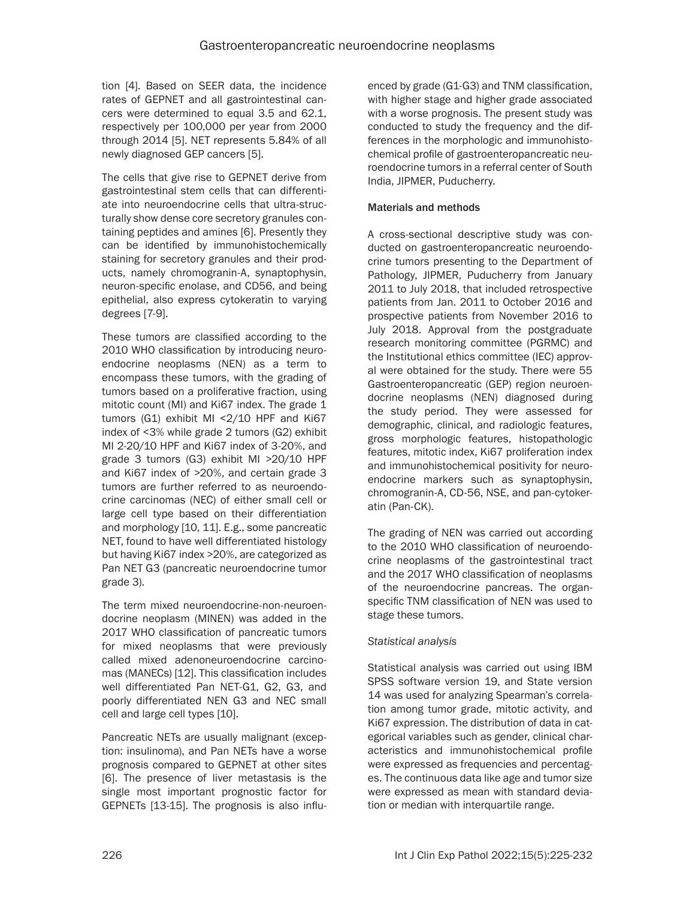tion [4]. Based on SEER data, the incidence rates of GEPNET and all gastrointestinal cancers were determined to equal 3.5 and 62.1, respectively per 100,000 per year from 2000 through 2014 [5]. NET represents 5.84% of all newly diagnosed GEP cancers [5].

The cells that give rise to GEPNET derive from gastrointestinal stem cells that can differentiate into neuroendocrine cells that ultra-structurally show dense core secretory granules containing peptides and amines [6]. Presently they can be identified by immunohistochemically staining for secretory granules and their products, namely chromogranin-A, synaptophysin, neuron-specific enolase, and CD56, and being epithelial, also express cytokeratin to varying degrees [7-9].

These tumors are classified according to the 2010 WHO classification by introducing neuroendocrine neoplasms (NEN) as a term to encompass these tumors, with the grading of tumors based on a proliferative fraction, using mitotic count (MI) and Ki67 index. The grade 1 tumors (G1) exhibit MI <2/10 HPF and Ki67 index of <3% while grade 2 tumors (G2) exhibit MI 2-20/10 HPF and Ki67 index of 3-20%, and grade 3 tumors (G3) exhibit MI >20/10 HPF and Ki67 index of >20%, and certain grade 3 tumors are further referred to as neuroendocrine carcinomas (NEC) of either small cell or large cell type based on their differentiation and morphology [10, 11]. E.g., some pancreatic NET, found to have well differentiated histology but having Ki67 index >20%, are categorized as Pan NET G3 (pancreatic neuroendocrine tumor grade 3).

The term mixed neuroendocrine-non-neuroendocrine neoplasm (MINEN) was added in the 2017 WHO classification of pancreatic tumors for mixed neoplasms that were previously called mixed adenoneuroendocrine carcinomas (MANECs) [12]. This classification includes well differentiated Pan NET-G1, G2, G3, and poorly differentiated NEN G3 and NEC small cell and large cell types [10].

Pancreatic NETs are usually malignant (exception: insulinoma), and Pan NETs have a worse prognosis compared to GEPNET at other sites [6]. The presence of liver metastasis is the single most important prognostic factor for GEPNETs [13-15]. The prognosis is also influenced by grade (G1-G3) and TNM classification, with higher stage and higher grade associated with a worse prognosis. The present study was conducted to study the frequency and the differences in the morphologic and immunohistochemical profile of gastroenteropancreatic neuroendocrine tumors in a referral center of South India, JIPMER, Puducherry.

# Materials and methods

A cross-sectional descriptive study was conducted on gastroenteropancreatic neuroendocrine tumors presenting to the Department of Pathology, JIPMER, Puducherry from January 2011 to July 2018, that included retrospective patients from Jan. 2011 to October 2016 and prospective patients from November 2016 to July 2018. Approval from the postgraduate research monitoring committee (PGRMC) and the Institutional ethics committee (IEC) approval were obtained for the study. There were 55 Gastroenteropancreatic (GEP) region neuroendocrine neoplasms (NEN) diagnosed during the study period. They were assessed for demographic, clinical, and radiologic features, gross morphologic features, histopathologic features, mitotic index, Ki67 proliferation index and immunohistochemical positivity for neuroendocrine markers such as synaptophysin, chromogranin-A, CD-56, NSE, and pan-cytokeratin (Pan-CK).

The grading of NEN was carried out according to the 2010 WHO classification of neuroendocrine neoplasms of the gastrointestinal tract and the 2017 WHO classification of neoplasms of the neuroendocrine pancreas. The organspecific TNM classification of NEN was used to stage these tumors.

# *Statistical analysis*

Statistical analysis was carried out using IBM SPSS software version 19, and State version 14 was used for analyzing Spearman's correlation among tumor grade, mitotic activity, and Ki67 expression. The distribution of data in categorical variables such as gender, clinical characteristics and immunohistochemical profile were expressed as frequencies and percentages. The continuous data like age and tumor size were expressed as mean with standard deviation or median with interquartile range.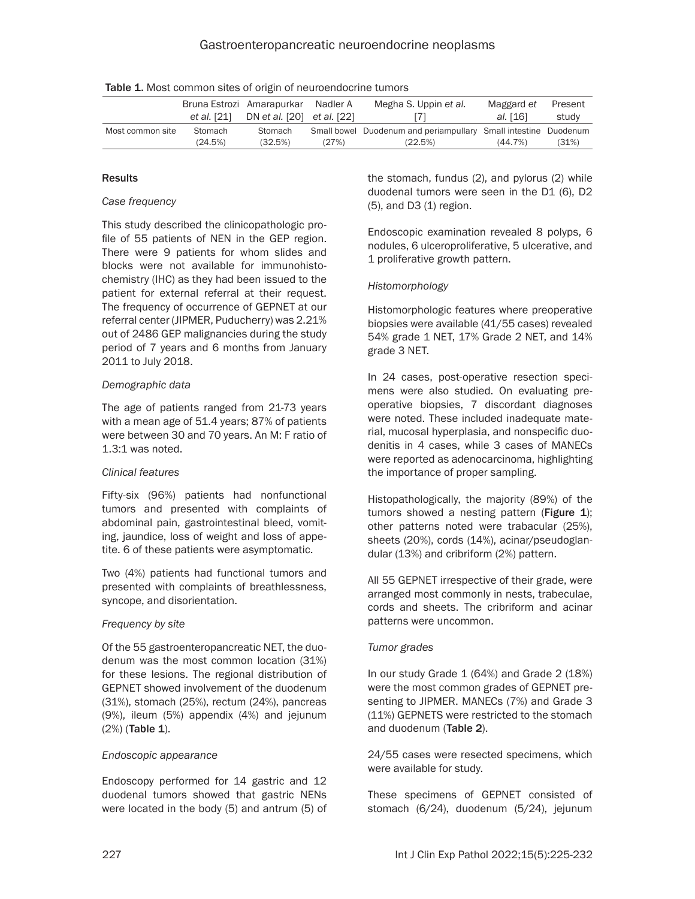|                  | et al. [21]        | Bruna Estrozi Amarapurkar<br>DN et al. [20] et al. [22] | Nadler A | Megha S. Uppin et al.                                                      | Maggard et<br>al. [16] | Present<br>study |
|------------------|--------------------|---------------------------------------------------------|----------|----------------------------------------------------------------------------|------------------------|------------------|
| Most common site | Stomach<br>(24.5%) | Stomach<br>(32.5%)                                      | (27%)    | Small bowel Duodenum and periampullary Small intestine Duodenum<br>(22.5%) | (44.7%)                | (31%)            |

| Table 1. Most common sites of origin of neuroendocrine tumors |
|---------------------------------------------------------------|
|---------------------------------------------------------------|

#### **Results**

#### *Case frequency*

This study described the clinicopathologic profile of 55 patients of NEN in the GEP region. There were 9 patients for whom slides and blocks were not available for immunohistochemistry (IHC) as they had been issued to the patient for external referral at their request. The frequency of occurrence of GEPNET at our referral center (JIPMER, Puducherry) was 2.21% out of 2486 GEP malignancies during the study period of 7 years and 6 months from January 2011 to July 2018.

# *Demographic data*

The age of patients ranged from 21-73 years with a mean age of 51.4 years; 87% of patients were between 30 and 70 years. An M: F ratio of 1.3:1 was noted.

# *Clinical features*

Fifty-six (96%) patients had nonfunctional tumors and presented with complaints of abdominal pain, gastrointestinal bleed, vomiting, jaundice, loss of weight and loss of appetite. 6 of these patients were asymptomatic.

Two (4%) patients had functional tumors and presented with complaints of breathlessness, syncope, and disorientation.

# *Frequency by site*

Of the 55 gastroenteropancreatic NET, the duodenum was the most common location (31%) for these lesions. The regional distribution of GEPNET showed involvement of the duodenum (31%), stomach (25%), rectum (24%), pancreas (9%), ileum (5%) appendix (4%) and jejunum (2%) (Table 1).

# *Endoscopic appearance*

Endoscopy performed for 14 gastric and 12 duodenal tumors showed that gastric NENs were located in the body (5) and antrum (5) of

the stomach, fundus (2), and pylorus (2) while duodenal tumors were seen in the D1 (6), D2 (5), and D3 (1) region.

Endoscopic examination revealed 8 polyps, 6 nodules, 6 ulceroproliferative, 5 ulcerative, and 1 proliferative growth pattern.

#### *Histomorphology*

Histomorphologic features where preoperative biopsies were available (41/55 cases) revealed 54% grade 1 NET, 17% Grade 2 NET, and 14% grade 3 NET.

In 24 cases, post-operative resection specimens were also studied. On evaluating preoperative biopsies, 7 discordant diagnoses were noted. These included inadequate material, mucosal hyperplasia, and nonspecific duodenitis in 4 cases, while 3 cases of MANECs were reported as adenocarcinoma, highlighting the importance of proper sampling.

Histopathologically, the majority (89%) of the tumors showed a nesting pattern (Figure  $1$ ); other patterns noted were trabacular (25%), sheets (20%), cords (14%), acinar/pseudoglandular (13%) and cribriform (2%) pattern.

All 55 GEPNET irrespective of their grade, were arranged most commonly in nests, trabeculae, cords and sheets. The cribriform and acinar patterns were uncommon.

# *Tumor grades*

In our study Grade 1 (64%) and Grade 2 (18%) were the most common grades of GEPNET presenting to JIPMER. MANECs (7%) and Grade 3 (11%) GEPNETS were restricted to the stomach and duodenum (Table 2).

24/55 cases were resected specimens, which were available for study.

These specimens of GEPNET consisted of stomach (6/24), duodenum (5/24), jejunum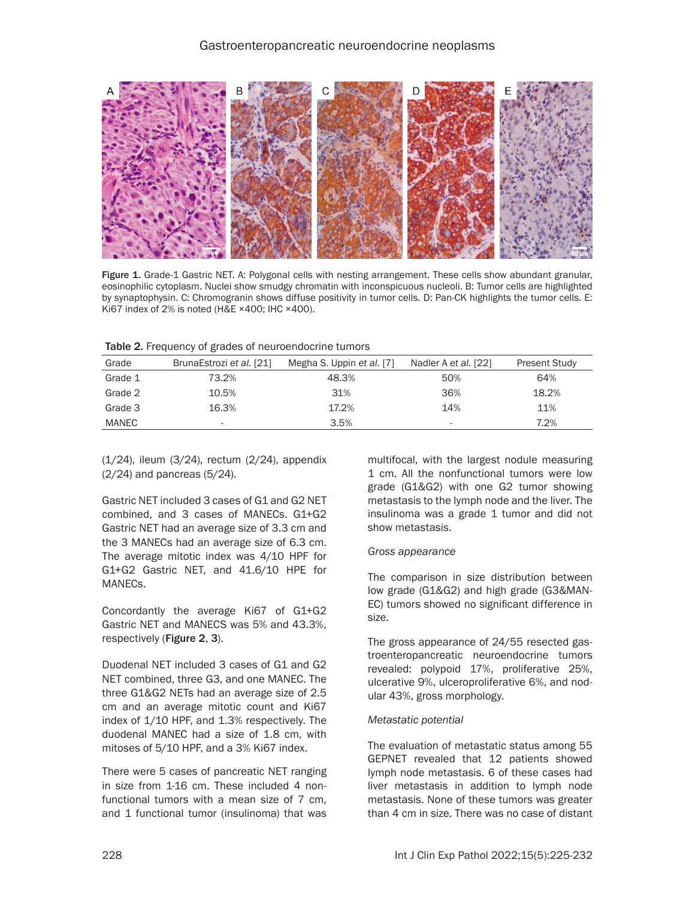

Figure 1. Grade-1 Gastric NET. A: Polygonal cells with nesting arrangement. These cells show abundant granular, eosinophilic cytoplasm. Nuclei show smudgy chromatin with inconspicuous nucleoli. B: Tumor cells are highlighted by synaptophysin. C: Chromogranin shows diffuse positivity in tumor cells. D: Pan-CK highlights the tumor cells. E: Ki67 index of 2% is noted (H&E ×400; IHC ×400).

| Grade   | BrunaEstrozi et al. [21] | Megha S. Uppin et al. [7] | Nadler A et al. [22]     | <b>Present Study</b> |
|---------|--------------------------|---------------------------|--------------------------|----------------------|
| Grade 1 | 73.2%                    | 48.3%                     | 50%                      | 64%                  |
| Grade 2 | 10.5%                    | 31%                       | 36%                      | 18.2%                |
| Grade 3 | 16.3%                    | 17.2%                     | 14%                      | 11%                  |
| MANEC   |                          | 3.5%                      | $\overline{\phantom{a}}$ | 7.2%                 |

Table 2. Frequency of grades of neuroendocrine tumors

(1/24), ileum (3/24), rectum (2/24), appendix (2/24) and pancreas (5/24).

Gastric NET included 3 cases of G1 and G2 NET combined, and 3 cases of MANECs. G1+G2 Gastric NET had an average size of 3.3 cm and the 3 MANECs had an average size of 6.3 cm. The average mitotic index was 4/10 HPF for G1+G2 Gastric NET, and 41.6/10 HPE for MANECs.

Concordantly the average Ki67 of G1+G2 Gastric NET and MANECS was 5% and 43.3%, respectively (Figure 2, 3).

Duodenal NET included 3 cases of G1 and G2 NET combined, three G3, and one MANEC. The three G1&G2 NETs had an average size of 2.5 cm and an average mitotic count and Ki67 index of 1/10 HPF, and 1.3% respectively. The duodenal MANEC had a size of 1.8 cm, with mitoses of 5/10 HPF, and a 3% Ki67 index.

There were 5 cases of pancreatic NET ranging in size from 1-16 cm. These included 4 nonfunctional tumors with a mean size of 7 cm, and 1 functional tumor (insulinoma) that was

multifocal, with the largest nodule measuring 1 cm. All the nonfunctional tumors were low grade (G1&G2) with one G2 tumor showing metastasis to the lymph node and the liver. The insulinoma was a grade 1 tumor and did not show metastasis.

#### *Gross appearance*

The comparison in size distribution between low grade (G1&G2) and high grade (G3&MAN-EC) tumors showed no significant difference in size.

The gross appearance of 24/55 resected gastroenteropancreatic neuroendocrine tumors revealed: polypoid 17%, proliferative 25%, ulcerative 9%, ulceroproliferative 6%, and nodular 43%, gross morphology.

#### *Metastatic potential*

The evaluation of metastatic status among 55 GEPNET revealed that 12 patients showed lymph node metastasis. 6 of these cases had liver metastasis in addition to lymph node metastasis. None of these tumors was greater than 4 cm in size. There was no case of distant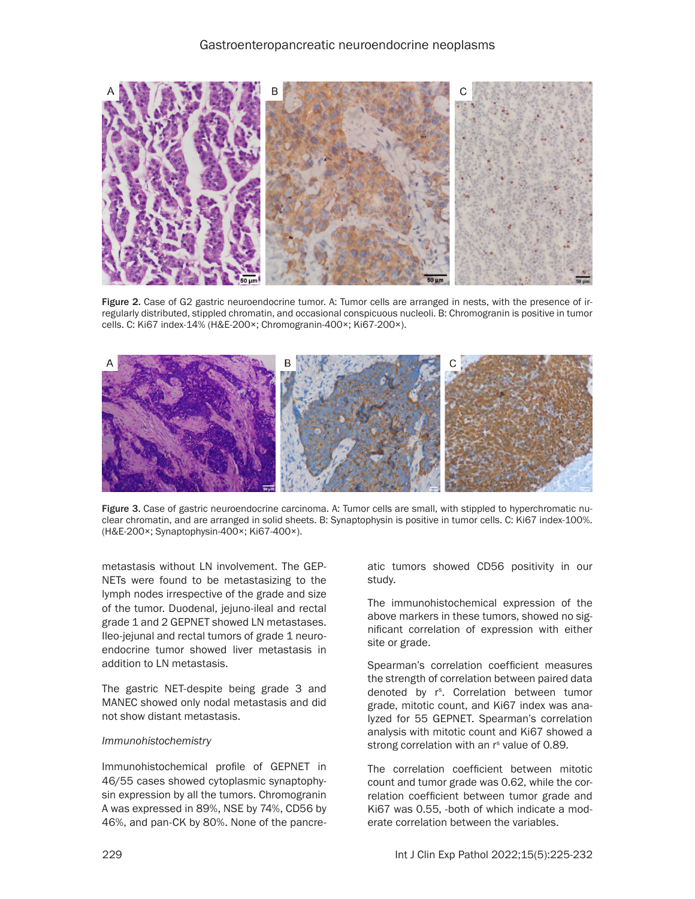

Figure 2. Case of G2 gastric neuroendocrine tumor. A: Tumor cells are arranged in nests, with the presence of irregularly distributed, stippled chromatin, and occasional conspicuous nucleoli. B: Chromogranin is positive in tumor cells. C: Ki67 index-14% (H&E-200×; Chromogranin-400×; Ki67-200×).



Figure 3. Case of gastric neuroendocrine carcinoma. A: Tumor cells are small, with stippled to hyperchromatic nuclear chromatin, and are arranged in solid sheets. B: Synaptophysin is positive in tumor cells. C: Ki67 index-100%. (H&E-200×; Synaptophysin-400×; Ki67-400×).

metastasis without LN involvement. The GEP-NETs were found to be metastasizing to the lymph nodes irrespective of the grade and size of the tumor. Duodenal, jejuno-ileal and rectal grade 1 and 2 GEPNET showed LN metastases. Ileo-jejunal and rectal tumors of grade 1 neuroendocrine tumor showed liver metastasis in addition to LN metastasis.

The gastric NET-despite being grade 3 and MANEC showed only nodal metastasis and did not show distant metastasis.

#### *Immunohistochemistry*

Immunohistochemical profile of GEPNET in 46/55 cases showed cytoplasmic synaptophysin expression by all the tumors. Chromogranin A was expressed in 89%, NSE by 74%, CD56 by 46%, and pan-CK by 80%. None of the pancreatic tumors showed CD56 positivity in our study.

The immunohistochemical expression of the above markers in these tumors, showed no significant correlation of expression with either site or grade.

Spearman's correlation coefficient measures the strength of correlation between paired data denoted by r<sup>s</sup>. Correlation between tumor grade, mitotic count, and Ki67 index was analyzed for 55 GEPNET. Spearman's correlation analysis with mitotic count and Ki67 showed a strong correlation with an r<sup>s</sup> value of 0.89.

The correlation coefficient between mitotic count and tumor grade was 0.62, while the correlation coefficient between tumor grade and Ki67 was 0.55, -both of which indicate a moderate correlation between the variables.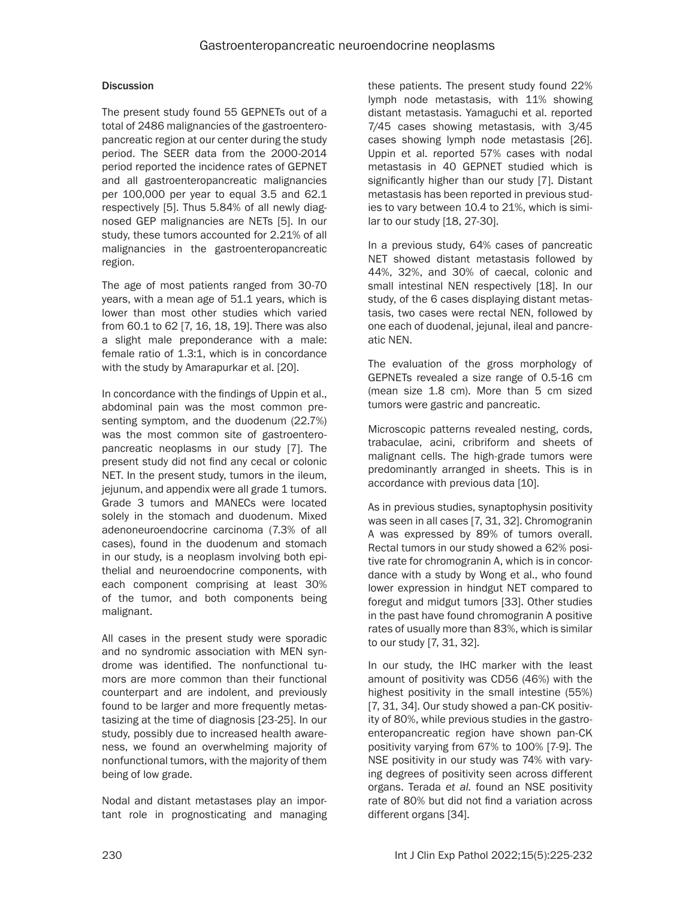# **Discussion**

The present study found 55 GEPNETs out of a total of 2486 malignancies of the gastroenteropancreatic region at our center during the study period. The SEER data from the 2000-2014 period reported the incidence rates of GEPNET and all gastroenteropancreatic malignancies per 100,000 per year to equal 3.5 and 62.1 respectively [5]. Thus 5.84% of all newly diagnosed GEP malignancies are NETs [5]. In our study, these tumors accounted for 2.21% of all malignancies in the gastroenteropancreatic region.

The age of most patients ranged from 30-70 years, with a mean age of 51.1 years, which is lower than most other studies which varied from 60.1 to 62 [7, 16, 18, 19]. There was also a slight male preponderance with a male: female ratio of 1.3:1, which is in concordance with the study by Amarapurkar et al. [20].

In concordance with the findings of Uppin et al., abdominal pain was the most common presenting symptom, and the duodenum (22.7%) was the most common site of gastroenteropancreatic neoplasms in our study [7]. The present study did not find any cecal or colonic NET. In the present study, tumors in the ileum, jejunum, and appendix were all grade 1 tumors. Grade 3 tumors and MANECs were located solely in the stomach and duodenum. Mixed adenoneuroendocrine carcinoma (7.3% of all cases), found in the duodenum and stomach in our study, is a neoplasm involving both epithelial and neuroendocrine components, with each component comprising at least 30% of the tumor, and both components being malignant.

All cases in the present study were sporadic and no syndromic association with MEN syndrome was identified. The nonfunctional tumors are more common than their functional counterpart and are indolent, and previously found to be larger and more frequently metastasizing at the time of diagnosis [23-25]. In our study, possibly due to increased health awareness, we found an overwhelming majority of nonfunctional tumors, with the majority of them being of low grade.

Nodal and distant metastases play an important role in prognosticating and managing these patients. The present study found 22% lymph node metastasis, with 11% showing distant metastasis. Yamaguchi et al. reported 7/45 cases showing metastasis, with 3/45 cases showing lymph node metastasis [26]. Uppin et al. reported 57% cases with nodal metastasis in 40 GEPNET studied which is significantly higher than our study [7]. Distant metastasis has been reported in previous studies to vary between 10.4 to 21%, which is similar to our study [18, 27-30].

In a previous study, 64% cases of pancreatic NET showed distant metastasis followed by 44%, 32%, and 30% of caecal, colonic and small intestinal NEN respectively [18]. In our study, of the 6 cases displaying distant metastasis, two cases were rectal NEN, followed by one each of duodenal, jejunal, ileal and pancreatic NEN.

The evaluation of the gross morphology of GEPNETs revealed a size range of 0.5-16 cm (mean size 1.8 cm). More than 5 cm sized tumors were gastric and pancreatic.

Microscopic patterns revealed nesting, cords, trabaculae, acini, cribriform and sheets of malignant cells. The high-grade tumors were predominantly arranged in sheets. This is in accordance with previous data [10].

As in previous studies, synaptophysin positivity was seen in all cases [7, 31, 32]. Chromogranin A was expressed by 89% of tumors overall. Rectal tumors in our study showed a 62% positive rate for chromogranin A, which is in concordance with a study by Wong et al., who found lower expression in hindgut NET compared to foregut and midgut tumors [33]. Other studies in the past have found chromogranin A positive rates of usually more than 83%, which is similar to our study [7, 31, 32].

In our study, the IHC marker with the least amount of positivity was CD56 (46%) with the highest positivity in the small intestine (55%) [7, 31, 34]. Our study showed a pan-CK positivity of 80%, while previous studies in the gastroenteropancreatic region have shown pan-CK positivity varying from 67% to 100% [7-9]. The NSE positivity in our study was 74% with varying degrees of positivity seen across different organs. Terada *et al.* found an NSE positivity rate of 80% but did not find a variation across different organs [34].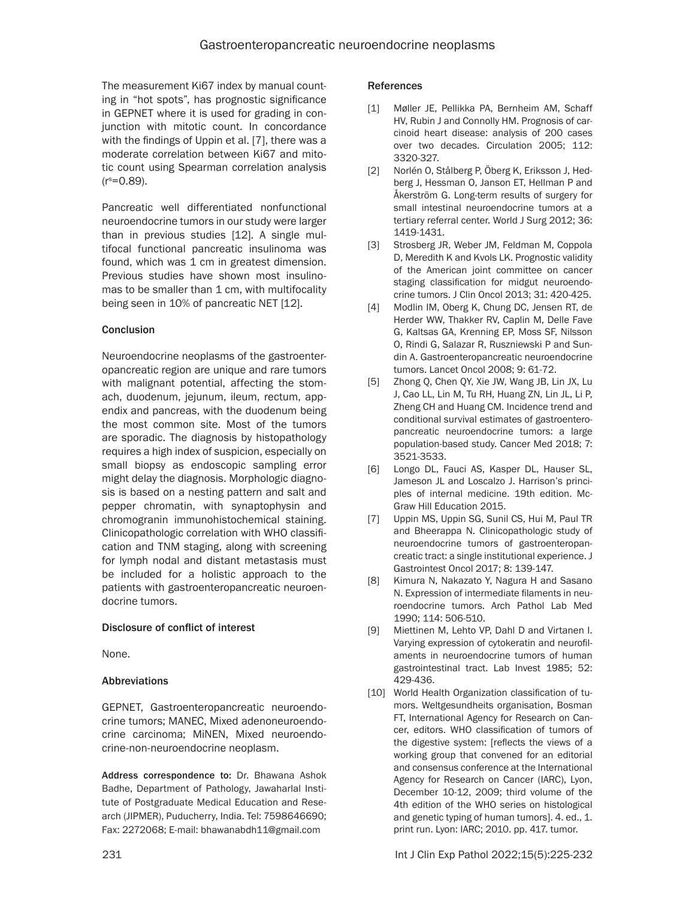The measurement Ki67 index by manual counting in "hot spots", has prognostic significance in GEPNET where it is used for grading in conjunction with mitotic count. In concordance with the findings of Uppin et al. [7], there was a moderate correlation between Ki67 and mitotic count using Spearman correlation analysis (rs =0.89).

Pancreatic well differentiated nonfunctional neuroendocrine tumors in our study were larger than in previous studies [12]. A single multifocal functional pancreatic insulinoma was found, which was 1 cm in greatest dimension. Previous studies have shown most insulinomas to be smaller than 1 cm, with multifocality being seen in 10% of pancreatic NET [12].

# **Conclusion**

Neuroendocrine neoplasms of the gastroenteropancreatic region are unique and rare tumors with malignant potential, affecting the stomach, duodenum, jejunum, ileum, rectum, appendix and pancreas, with the duodenum being the most common site. Most of the tumors are sporadic. The diagnosis by histopathology requires a high index of suspicion, especially on small biopsy as endoscopic sampling error might delay the diagnosis. Morphologic diagnosis is based on a nesting pattern and salt and pepper chromatin, with synaptophysin and chromogranin immunohistochemical staining. Clinicopathologic correlation with WHO classification and TNM staging, along with screening for lymph nodal and distant metastasis must be included for a holistic approach to the patients with gastroenteropancreatic neuroendocrine tumors.

#### Disclosure of conflict of interest

None.

#### **Abbreviations**

GEPNET, Gastroenteropancreatic neuroendocrine tumors; MANEC, Mixed adenoneuroendocrine carcinoma; MiNEN, Mixed neuroendocrine-non-neuroendocrine neoplasm.

Address correspondence to: Dr. Bhawana Ashok Badhe, Department of Pathology, Jawaharlal Institute of Postgraduate Medical Education and Research (JIPMER), Puducherry, India. Tel: 7598646690; Fax: 2272068; E-mail: [bhawanabdh11@gmail.com](mailto:bhawanabdh11@gmail.com)

#### References

- [1] Møller JE, Pellikka PA, Bernheim AM, Schaff HV, Rubin J and Connolly HM. Prognosis of carcinoid heart disease: analysis of 200 cases over two decades. Circulation 2005; 112: 3320-327.
- [2] Norlén O, Stålberg P, Öberg K, Eriksson J, Hedberg J, Hessman O, Janson ET, Hellman P and Åkerström G. Long-term results of surgery for small intestinal neuroendocrine tumors at a tertiary referral center. World J Surg 2012; 36: 1419-1431.
- [3] Strosberg JR, Weber JM, Feldman M, Coppola D, Meredith K and Kvols LK. Prognostic validity of the American joint committee on cancer staging classification for midgut neuroendocrine tumors. J Clin Oncol 2013; 31: 420-425.
- [4] Modlin IM, Oberg K, Chung DC, Jensen RT, de Herder WW, Thakker RV, Caplin M, Delle Fave G, Kaltsas GA, Krenning EP, Moss SF, Nilsson O, Rindi G, Salazar R, Ruszniewski P and Sundin A. Gastroenteropancreatic neuroendocrine tumors. Lancet Oncol 2008; 9: 61-72.
- [5] Zhong Q, Chen QY, Xie JW, Wang JB, Lin JX, Lu J, Cao LL, Lin M, Tu RH, Huang ZN, Lin JL, Li P, Zheng CH and Huang CM. Incidence trend and conditional survival estimates of gastroenteropancreatic neuroendocrine tumors: a large population-based study. Cancer Med 2018; 7: 3521-3533.
- [6] Longo DL, Fauci AS, Kasper DL, Hauser SL, Jameson JL and Loscalzo J. Harrison's principles of internal medicine. 19th edition. Mc-Graw Hill Education 2015.
- [7] Uppin MS, Uppin SG, Sunil CS, Hui M, Paul TR and Bheerappa N. Clinicopathologic study of neuroendocrine tumors of gastroenteropancreatic tract: a single institutional experience. J Gastrointest Oncol 2017; 8: 139-147.
- [8] Kimura N, Nakazato Y, Nagura H and Sasano N. Expression of intermediate filaments in neuroendocrine tumors. Arch Pathol Lab Med 1990; 114: 506-510.
- [9] Miettinen M, Lehto VP, Dahl D and Virtanen I. Varying expression of cytokeratin and neurofilaments in neuroendocrine tumors of human gastrointestinal tract. Lab Invest 1985; 52: 429-436.
- [10] World Health Organization classification of tumors. Weltgesundheits organisation, Bosman FT, International Agency for Research on Cancer, editors. WHO classification of tumors of the digestive system: [reflects the views of a working group that convened for an editorial and consensus conference at the International Agency for Research on Cancer (IARC), Lyon, December 10-12, 2009; third volume of the 4th edition of the WHO series on histological and genetic typing of human tumors]. 4. ed., 1. print run. Lyon: IARC; 2010. pp. 417. tumor.